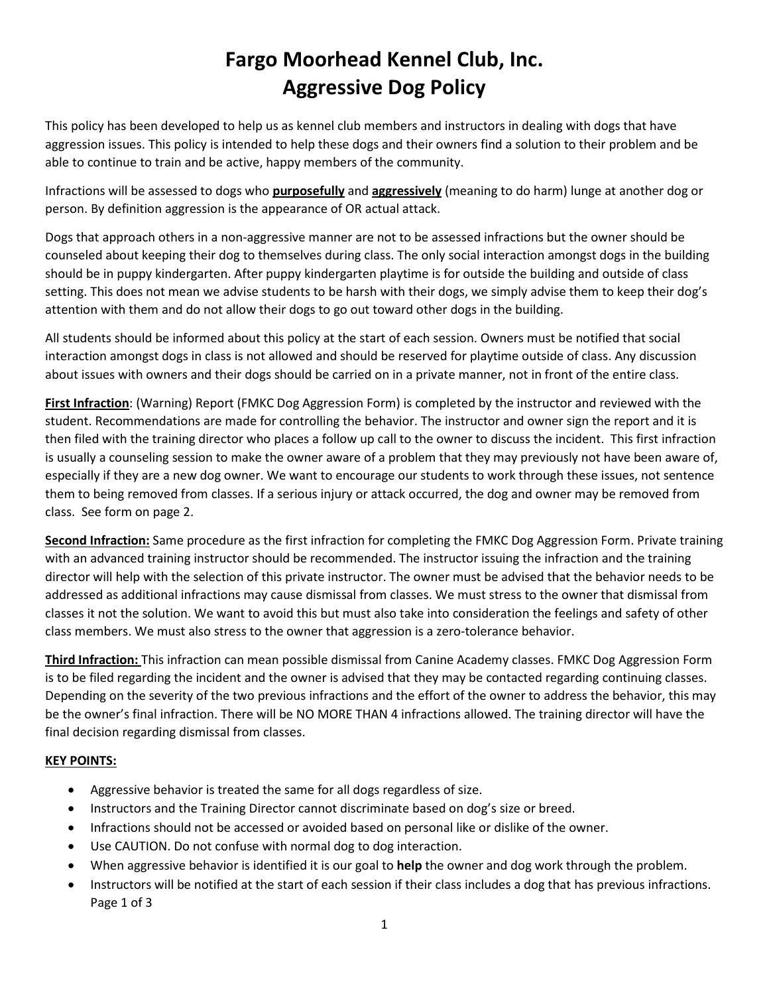# **Fargo Moorhead Kennel Club, Inc. Aggressive Dog Policy**

This policy has been developed to help us as kennel club members and instructors in dealing with dogs that have aggression issues. This policy is intended to help these dogs and their owners find a solution to their problem and be able to continue to train and be active, happy members of the community.

Infractions will be assessed to dogs who **purposefully** and **aggressively** (meaning to do harm) lunge at another dog or person. By definition aggression is the appearance of OR actual attack.

Dogs that approach others in a non-aggressive manner are not to be assessed infractions but the owner should be counseled about keeping their dog to themselves during class. The only social interaction amongst dogs in the building should be in puppy kindergarten. After puppy kindergarten playtime is for outside the building and outside of class setting. This does not mean we advise students to be harsh with their dogs, we simply advise them to keep their dog's attention with them and do not allow their dogs to go out toward other dogs in the building.

All students should be informed about this policy at the start of each session. Owners must be notified that social interaction amongst dogs in class is not allowed and should be reserved for playtime outside of class. Any discussion about issues with owners and their dogs should be carried on in a private manner, not in front of the entire class.

**First Infraction**: (Warning) Report (FMKC Dog Aggression Form) is completed by the instructor and reviewed with the student. Recommendations are made for controlling the behavior. The instructor and owner sign the report and it is then filed with the training director who places a follow up call to the owner to discuss the incident. This first infraction is usually a counseling session to make the owner aware of a problem that they may previously not have been aware of, especially if they are a new dog owner. We want to encourage our students to work through these issues, not sentence them to being removed from classes. If a serious injury or attack occurred, the dog and owner may be removed from class. See form on page 2.

**Second Infraction:** Same procedure as the first infraction for completing the FMKC Dog Aggression Form. Private training with an advanced training instructor should be recommended. The instructor issuing the infraction and the training director will help with the selection of this private instructor. The owner must be advised that the behavior needs to be addressed as additional infractions may cause dismissal from classes. We must stress to the owner that dismissal from classes it not the solution. We want to avoid this but must also take into consideration the feelings and safety of other class members. We must also stress to the owner that aggression is a zero-tolerance behavior.

**Third Infraction:** This infraction can mean possible dismissal from Canine Academy classes. FMKC Dog Aggression Form is to be filed regarding the incident and the owner is advised that they may be contacted regarding continuing classes. Depending on the severity of the two previous infractions and the effort of the owner to address the behavior, this may be the owner's final infraction. There will be NO MORE THAN 4 infractions allowed. The training director will have the final decision regarding dismissal from classes.

#### **KEY POINTS:**

- Aggressive behavior is treated the same for all dogs regardless of size.
- Instructors and the Training Director cannot discriminate based on dog's size or breed.
- Infractions should not be accessed or avoided based on personal like or dislike of the owner.
- Use CAUTION. Do not confuse with normal dog to dog interaction.
- When aggressive behavior is identified it is our goal to **help** the owner and dog work through the problem.
- Instructors will be notified at the start of each session if their class includes a dog that has previous infractions. Page 1 of 3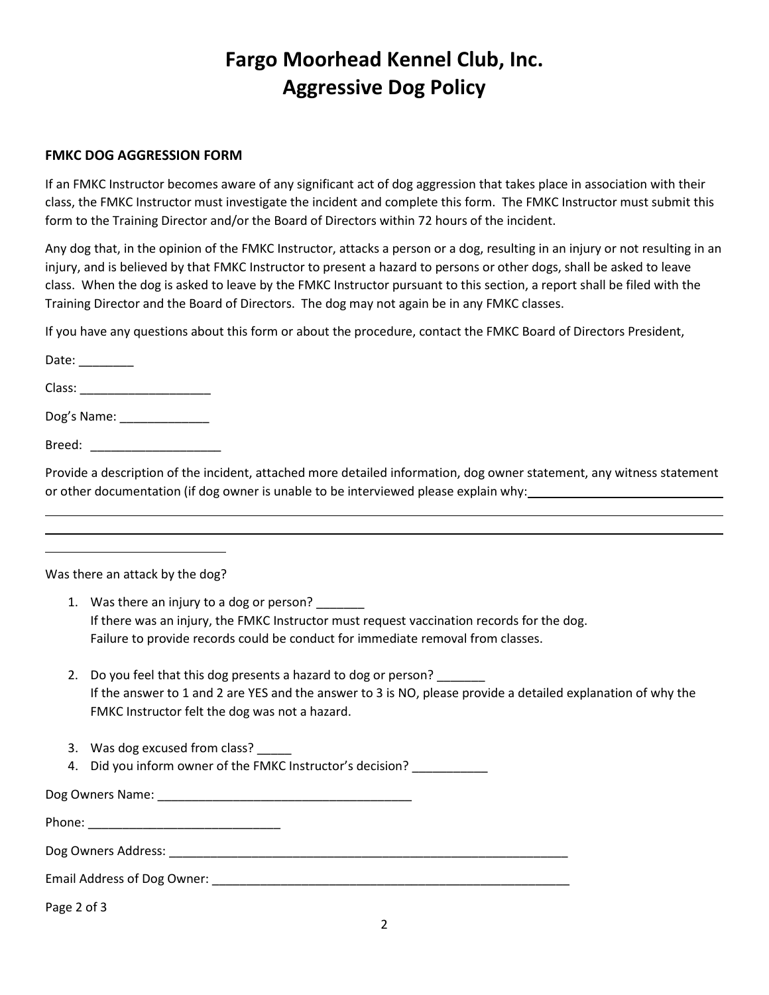## **Fargo Moorhead Kennel Club, Inc. Aggressive Dog Policy**

#### **FMKC DOG AGGRESSION FORM**

If an FMKC Instructor becomes aware of any significant act of dog aggression that takes place in association with their class, the FMKC Instructor must investigate the incident and complete this form. The FMKC Instructor must submit this form to the Training Director and/or the Board of Directors within 72 hours of the incident.

Any dog that, in the opinion of the FMKC Instructor, attacks a person or a dog, resulting in an injury or not resulting in an injury, and is believed by that FMKC Instructor to present a hazard to persons or other dogs, shall be asked to leave class. When the dog is asked to leave by the FMKC Instructor pursuant to this section, a report shall be filed with the Training Director and the Board of Directors. The dog may not again be in any FMKC classes.

If you have any questions about this form or about the procedure, contact the FMKC Board of Directors President,

Date:

Class: \_\_\_\_\_\_\_\_\_\_\_\_\_\_\_\_\_\_\_

Dog's Name: \_\_\_\_\_\_\_\_\_\_\_\_\_

Breed: \_\_\_\_\_\_\_\_\_\_\_\_\_\_\_\_\_\_\_

Provide a description of the incident, attached more detailed information, dog owner statement, any witness statement or other documentation (if dog owner is unable to be interviewed please explain why:

Was there an attack by the dog?

- 1. Was there an injury to a dog or person? If there was an injury, the FMKC Instructor must request vaccination records for the dog. Failure to provide records could be conduct for immediate removal from classes.
- 2. Do you feel that this dog presents a hazard to dog or person? If the answer to 1 and 2 are YES and the answer to 3 is NO, please provide a detailed explanation of why the FMKC Instructor felt the dog was not a hazard.
- 3. Was dog excused from class?
- 4. Did you inform owner of the FMKC Instructor's decision? \_\_\_\_\_\_\_\_\_\_\_\_

Dog Owners Name: \_\_\_\_\_\_\_\_\_\_\_\_\_\_\_\_\_\_\_\_\_\_\_\_\_\_\_\_\_\_\_\_\_\_\_\_\_

Phone: \_\_\_\_\_\_\_\_\_\_\_\_\_\_\_\_\_\_\_\_\_\_\_\_\_\_\_\_ Dog Owners Address: \_\_\_\_\_\_\_\_\_\_\_\_\_\_\_\_\_\_\_\_\_\_\_\_\_\_\_\_\_\_\_\_\_\_\_\_\_\_\_\_\_\_\_\_\_\_\_\_\_\_\_\_\_\_\_\_\_\_ Email Address of Dog Owner: \_\_\_\_\_\_\_\_\_\_\_\_\_\_\_\_\_\_\_\_\_\_\_\_\_\_\_\_\_\_\_\_\_\_\_\_\_\_\_\_\_\_\_\_\_\_\_\_\_\_\_\_

Page 2 of 3